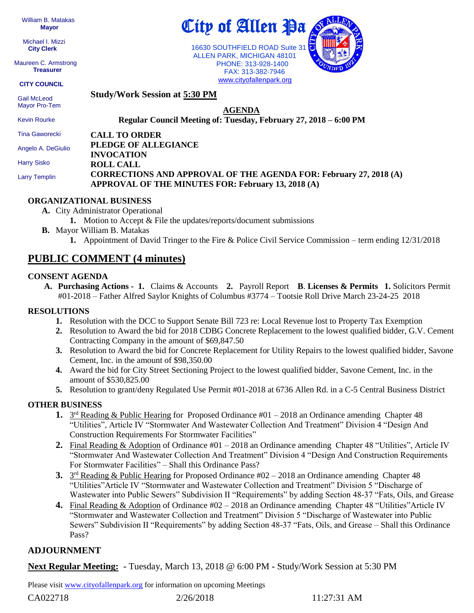William B. Matakas  **Mayor**

 Michael I. Mizzi **City Clerk**

Maureen C. Armstrong **Treasurer**

**CITY COUNCIL**

**Study/Work Session at 5:30 PM**

 Gail McLeod Mayor Pro-Tem

Kevin Rourke

**AGENDA Regular Council Meeting of: Tuesday, February 27, 2018 – 6:00 PM** 

**CALL TO ORDER** Tina Gaworecki

Angelo A. DeGiulio

Harry Sisko

Larry Templin

#### **PLEDGE OF ALLEGIANCE INVOCATION ROLL CALL CORRECTIONS AND APPROVAL OF THE AGENDA FOR: February 27, 2018 (A) APPROVAL OF THE MINUTES FOR: February 13, 2018 (A)**

### **ORGANIZATIONAL BUSINESS**

- **A.** City Administrator Operational
	- **1.** Motion to Accept & File the updates/reports/document submissions
- **B.** Mayor William B. Matakas
	- **1.** Appointment of David Tringer to the Fire & Police Civil Service Commission term ending 12/31/2018

## **PUBLIC COMMENT (4 minutes)**

#### **CONSENT AGENDA**

**A. Purchasing Actions - 1.** Claims & Accounts **2.** Payroll Report **B**. **Licenses & Permits 1.** Solicitors Permit #01-2018 – Father Alfred Saylor Knights of Columbus #3774 – Tootsie Roll Drive March 23-24-25 2018

### **RESOLUTIONS**

- **1.** Resolution with the DCC to Support Senate Bill 723 re: Local Revenue lost to Property Tax Exemption
- **2.** Resolution to Award the bid for 2018 CDBG Concrete Replacement to the lowest qualified bidder, G.V. Cement Contracting Company in the amount of \$69,847.50
- **3.** Resolution to Award the bid for Concrete Replacement for Utility Repairs to the lowest qualified bidder, Savone Cement, Inc. in the amount of \$98,350.00
- **4.** Award the bid for City Street Sectioning Project to the lowest qualified bidder, Savone Cement, Inc. in the amount of \$530,825.00
- **5.** Resolution to grant/deny Regulated Use Permit #01-2018 at 6736 Allen Rd. in a C-5 Central Business District

### **OTHER BUSINESS**

- 1. 3<sup>rd</sup> Reading & Public Hearing for Proposed Ordinance #01 2018 an Ordinance amending Chapter 48 "Utilities", Article IV "Stormwater And Wastewater Collection And Treatment" Division 4 "Design And Construction Requirements For Stormwater Facilities"
- **2.** Final Reading & Adoption of Ordinance #01 2018 an Ordinance amending Chapter 48 "Utilities", Article IV "Stormwater And Wastewater Collection And Treatment" Division 4 "Design And Construction Requirements For Stormwater Facilities" – Shall this Ordinance Pass?
- 3. 3<sup>rd</sup> Reading & Public Hearing for Proposed Ordinance #02 2018 an Ordinance amending Chapter 48 "Utilities"Article IV "Stormwater and Wastewater Collection and Treatment" Division 5 "Discharge of Wastewater into Public Sewers" Subdivision II "Requirements" by adding Section 48-37 "Fats, Oils, and Grease
- **4.** Final Reading & Adoption of Ordinance #02 2018 an Ordinance amending Chapter 48 "Utilities"Article IV "Stormwater and Wastewater Collection and Treatment" Division 5 "Discharge of Wastewater into Public Sewers" Subdivision II "Requirements" by adding Section 48-37 "Fats, Oils, and Grease – Shall this Ordinance Pass?

### **ADJOURNMENT**

**Next Regular Meeting: -** Tuesday, March 13, 2018 @ 6:00 PM **-** Study/Work Session at 5:30 PM

Please visit [www.cityofallenpark.org](http://www.cityofallenpark.org/) for information on upcoming Meetings

CA022718 2/26/2018 11:27:31 AM



16630 SOUTHFIELD ROAD Suite 31 ALLEN PARK, MICHIGAN 48101 PHONE: 313-928-1400 FAX: 313-382-7946 [www.cityofallenpark.org](http://www.cityofallenpark.org/)